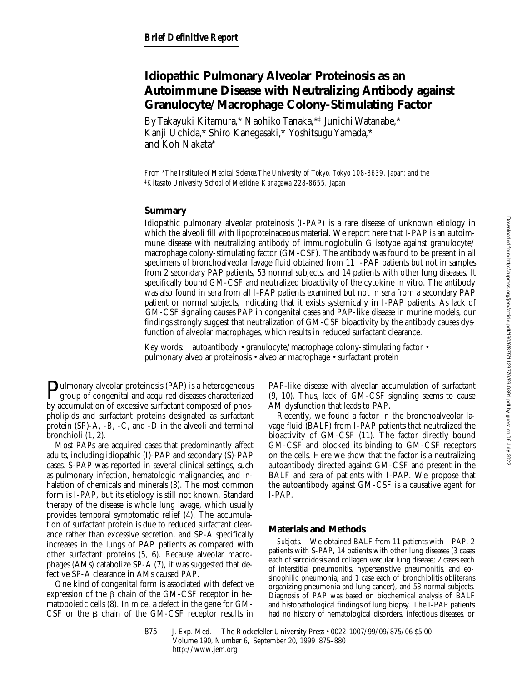# **Idiopathic Pulmonary Alveolar Proteinosis as an Autoimmune Disease with Neutralizing Antibody against Granulocyte/Macrophage Colony-Stimulating Factor**

By Takayuki Kitamura,\* Naohiko Tanaka,\*‡ Junichi Watanabe,\* Kanji Uchida,\* Shiro Kanegasaki,\* Yoshitsugu Yamada,\* and Koh Nakata\*

*From* \**The Institute of Medical Science, The University of Tokyo, Tokyo 108-8639, Japan; and the*  ‡*Kitasato University School of Medicine, Kanagawa 228-8655, Japan*

## **Summary**

Idiopathic pulmonary alveolar proteinosis (I-PAP) is a rare disease of unknown etiology in which the alveoli fill with lipoproteinaceous material. We report here that I-PAP is an autoimmune disease with neutralizing antibody of immunoglobulin G isotype against granulocyte/ macrophage colony-stimulating factor (GM-CSF). The antibody was found to be present in all specimens of bronchoalveolar lavage fluid obtained from 11 I-PAP patients but not in samples from 2 secondary PAP patients, 53 normal subjects, and 14 patients with other lung diseases. It specifically bound GM-CSF and neutralized bioactivity of the cytokine in vitro. The antibody was also found in sera from all I-PAP patients examined but not in sera from a secondary PAP patient or normal subjects, indicating that it exists systemically in I-PAP patients. As lack of GM-CSF signaling causes PAP in congenital cases and PAP-like disease in murine models, our findings strongly suggest that neutralization of GM-CSF bioactivity by the antibody causes dysfunction of alveolar macrophages, which results in reduced surfactant clearance.

Key words: autoantibody • granulocyte/macrophage colony-stimulating factor • pulmonary alveolar proteinosis • alveolar macrophage • surfactant protein

Pulmonary alveolar proteinosis (PAP) is a heterogeneous group of congenital and acquired diseases characterized by accumulation of excessive surfactant composed of phospholipids and surfactant proteins designated as surfactant protein (SP)-A, -B, -C, and -D in the alveoli and terminal bronchioli (1, 2).

Most PAPs are acquired cases that predominantly affect adults, including idiopathic (I)-PAP and secondary (S)-PAP cases. S-PAP was reported in several clinical settings, such as pulmonary infection, hematologic malignancies, and inhalation of chemicals and minerals (3). The most common form is I-PAP, but its etiology is still not known. Standard therapy of the disease is whole lung lavage, which usually provides temporal symptomatic relief (4). The accumulation of surfactant protein is due to reduced surfactant clearance rather than excessive secretion, and SP-A specifically increases in the lungs of PAP patients as compared with other surfactant proteins (5, 6). Because alveolar macrophages (AMs) catabolize SP-A (7), it was suggested that defective SP-A clearance in AMs caused PAP.

One kind of congenital form is associated with defective expression of the  $\beta$  chain of the GM-CSF receptor in hematopoietic cells (8). In mice, a defect in the gene for GM- $CSF$  or the  $\beta$  chain of the GM-CSF receptor results in PAP-like disease with alveolar accumulation of surfactant (9, 10). Thus, lack of GM-CSF signaling seems to cause AM dysfunction that leads to PAP.

Recently, we found a factor in the bronchoalveolar lavage fluid (BALF) from I-PAP patients that neutralized the bioactivity of GM-CSF (11). The factor directly bound GM-CSF and blocked its binding to GM-CSF receptors on the cells. Here we show that the factor is a neutralizing autoantibody directed against GM-CSF and present in the BALF and sera of patients with I-PAP. We propose that the autoantibody against GM-CSF is a causative agent for I-PAP.

## **Materials and Methods**

*Subjects.* We obtained BALF from 11 patients with I-PAP, 2 patients with S-PAP, 14 patients with other lung diseases (3 cases each of sarcoidosis and collagen vascular lung disease; 2 cases each of interstitial pneumonitis, hypersensitive pneumonitis, and eosinophilic pneumonia; and 1 case each of bronchiolitis obliterans organizing pneumonia and lung cancer), and 53 normal subjects. Diagnosis of PAP was based on biochemical analysis of BALF and histopathological findings of lung biopsy. The I-PAP patients had no history of hematological disorders, infectious diseases, or

875 J. Exp. Med. © The Rockefeller University Press • 0022-1007/99/09/875/06 \$5.00 Volume 190, Number 6, September 20, 1999 875–880 http://www.jem.org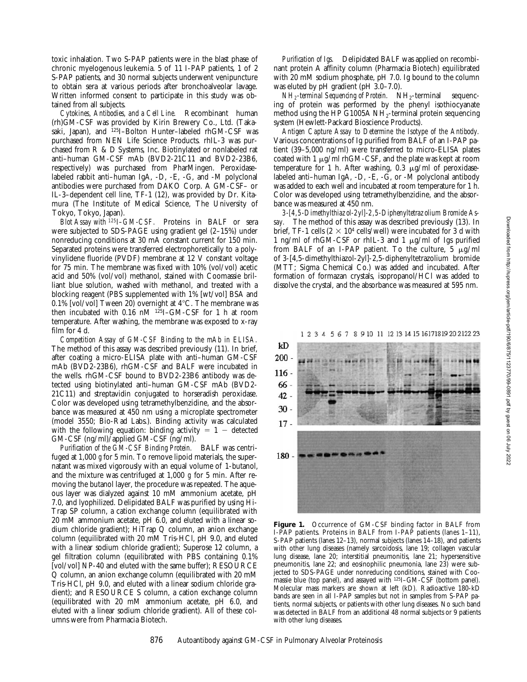toxic inhalation. Two S-PAP patients were in the blast phase of chronic myelogenous leukemia. 5 of 11 I-PAP patients, 1 of 2 S-PAP patients, and 30 normal subjects underwent venipuncture to obtain sera at various periods after bronchoalveolar lavage. Written informed consent to participate in this study was obtained from all subjects.

*Cytokines, Antibodies, and a Cell Line.* Recombinant human (rh)GM-CSF was provided by Kirin Brewery Co., Ltd. (Takasaki, Japan), and <sup>125</sup>I-Bolton Hunter-labeled rhGM-CSF was purchased from NEN Life Science Products. rhIL-3 was purchased from R & D Systems, Inc. Biotinylated or nonlabeled rat anti–human GM-CSF mAb (BVD2-21C11 and BVD2-23B6, respectively) was purchased from PharMingen. Peroxidaselabeled rabbit anti–human IgA, -D, -E, -G, and -M polyclonal antibodies were purchased from DAKO Corp. A GM-CSF– or IL-3–dependent cell line, TF-1 (12), was provided by Dr. Kitamura (The Institute of Medical Science, The University of Tokyo, Tokyo, Japan).

*Blot Assay with 125I–GM-CSF.* Proteins in BALF or sera were subjected to SDS-PAGE using gradient gel (2–15%) under nonreducing conditions at 30 mA constant current for 150 min. Separated proteins were transferred electrophoretically to a polyvinylidene fluoride (PVDF) membrane at 12 V constant voltage for 75 min. The membrane was fixed with 10% (vol/vol) acetic acid and 50% (vol/vol) methanol, stained with Coomassie brilliant blue solution, washed with methanol, and treated with a blocking reagent (PBS supplemented with 1% [wt/vol] BSA and 0.1% [vol/vol] Tween 20) overnight at  $4^{\circ}$ C. The membrane was then incubated with 0.16 nM <sup>125</sup>I-GM-CSF for 1 h at room temperature. After washing, the membrane was exposed to x-ray film for 4 d.

*Competition Assay of GM-CSF Binding to the mAb in ELISA.* The method of this assay was described previously (11). In brief, after coating a micro-ELISA plate with anti–human GM-CSF mAb (BVD2-23B6), rhGM-CSF and BALF were incubated in the wells. rhGM-CSF bound to BVD2-23B6 antibody was detected using biotinylated anti–human GM-CSF mAb (BVD2- 21C11) and streptavidin conjugated to horseradish peroxidase. Color was developed using tetramethylbenzidine, and the absorbance was measured at 450 nm using a microplate spectrometer (model 3550; Bio-Rad Labs.). Binding activity was calculated with the following equation: binding activity  $= 1 -$  detected GM-CSF (ng/ml)/applied GM-CSF (ng/ml).

*Purification of the GM-CSF Binding Protein.* BALF was centrifuged at 1,000 *g* for 5 min. To remove lipoid materials, the supernatant was mixed vigorously with an equal volume of 1-butanol, and the mixture was centrifuged at 1,000 *g* for 5 min. After removing the butanol layer, the procedure was repeated. The aqueous layer was dialyzed against 10 mM ammonium acetate, pH 7.0, and lyophilized. Delipidated BALF was purified by using Hi-Trap SP column, a cation exchange column (equilibrated with 20 mM ammonium acetate, pH 6.0, and eluted with a linear sodium chloride gradient); HiTrap Q column, an anion exchange column (equilibrated with 20 mM Tris-HCl, pH 9.0, and eluted with a linear sodium chloride gradient); Superose 12 column, a gel filtration column (equilibrated with PBS containing 0.1% [vol/vol] NP-40 and eluted with the same buffer); RESOURCE Q column, an anion exchange column (equilibrated with 20 mM Tris-HCl, pH 9.0, and eluted with a linear sodium chloride gradient); and RESOURCE S column, a cation exchange column (equilibrated with 20 mM ammonium acetate, pH 6.0, and eluted with a linear sodium chloride gradient). All of these columns were from Pharmacia Biotech.

*Purification of Igs.* Delipidated BALF was applied on recombinant protein A affinity column (Pharmacia Biotech) equilibrated with 20 mM sodium phosphate, pH 7.0. Ig bound to the column was eluted by pH gradient (pH 3.0–7.0).

*NH<sub>2</sub>-terminal Sequencing of Protein.* NH<sub>2</sub>-terminal sequencing of protein was performed by the phenyl isothiocyanate method using the HP G1005A  $NH_2$ -terminal protein sequencing system (Hewlett-Packard Bioscience Products).

*Antigen Capture Assay to Determine the Isotype of the Antibody.* Various concentrations of Ig purified from BALF of an I-PAP patient (39–5,000 ng/ml) were transferred to micro-ELISA plates coated with 1  $\mu$ g/ml rhGM-CSF, and the plate was kept at room temperature for 1 h. After washing,  $0.3 \mu$ g/ml of peroxidaselabeled anti–human IgA, -D, -E, -G, or -M polyclonal antibody was added to each well and incubated at room temperature for 1 h. Color was developed using tetramethylbenzidine, and the absorbance was measured at 450 nm.

*3-[4,5-Dimethylthiazol-2yl]-2,5-Diphenyltetrazolium Bromide Assay.* The method of this assay was described previously (13). In brief, TF-1 cells ( $2 \times 10^4$  cells/well) were incubated for 3 d with 1 ng/ml of rhGM-CSF or rhIL-3 and 1  $\mu$ g/ml of Igs purified from BALF of an I-PAP patient. To the culture,  $5 \mu g/ml$ of 3-[4,5-dimethylthiazol-2yl]-2,5-diphenyltetrazolium bromide (MTT; Sigma Chemical Co.) was added and incubated. After formation of formazan crystals, isopropanol/HCl was added to dissolve the crystal, and the absorbance was measured at 595 nm.

1 2 3 4 5 6 7 8 9 10 11 12 13 14 15 16171819 20 2122 23



**Figure 1.** Occurrence of GM-CSF binding factor in BALF from I-PAP patients. Proteins in BALF from I-PAP patients (lanes 1–11), S-PAP patients (lanes 12–13), normal subjects (lanes 14–18), and patients with other lung diseases (namely sarcoidosis, lane 19; collagen vascular lung disease, lane 20; interstitial pneumonitis, lane 21; hypersensitive pneumonitis, lane 22; and eosinophilic pneumonia, lane 23) were subjected to SDS-PAGE under nonreducing conditions, stained with Coomassie blue (top panel), and assayed with <sup>125</sup>I-GM-CSF (bottom panel). Molecular mass markers are shown at left (kD). Radioactive 180-kD bands are seen in all I-PAP samples but not in samples from S-PAP patients, normal subjects, or patients with other lung diseases. No such band was detected in BALF from an additional 48 normal subjects or 9 patients with other lung diseases.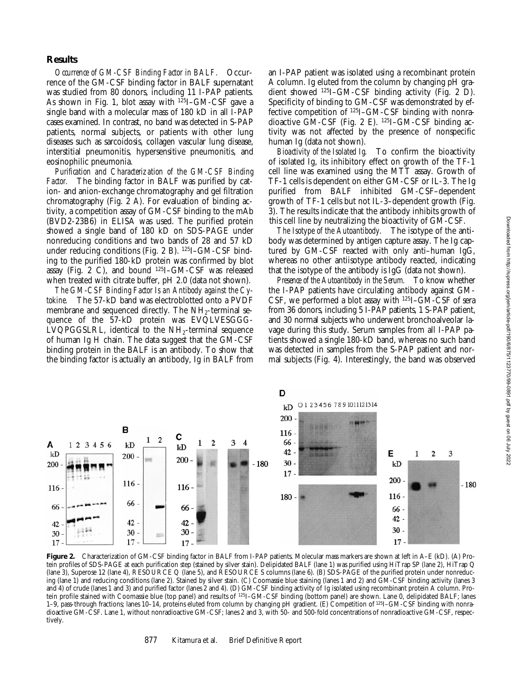### **Results**

*Occurrence of GM-CSF Binding Factor in BALF.* Occurrence of the GM-CSF binding factor in BALF supernatant was studied from 80 donors, including 11 I-PAP patients. As shown in Fig. 1, blot assay with 125I–GM-CSF gave a single band with a molecular mass of 180 kD in all I-PAP cases examined. In contrast, no band was detected in S-PAP patients, normal subjects, or patients with other lung diseases such as sarcoidosis, collagen vascular lung disease, interstitial pneumonitis, hypersensitive pneumonitis, and eosinophilic pneumonia.

*Purification and Characterization of the GM-CSF Binding Factor.* The binding factor in BALF was purified by cation- and anion-exchange chromatography and gel filtration chromatography (Fig. 2 A). For evaluation of binding activity, a competition assay of GM-CSF binding to the mAb (BVD2-23B6) in ELISA was used. The purified protein showed a single band of 180 kD on SDS-PAGE under nonreducing conditions and two bands of 28 and 57 kD under reducing conditions (Fig. 2 B). 125I–GM-CSF binding to the purified 180-kD protein was confirmed by blot assay (Fig. 2 C), and bound  $^{125}I$ –GM-CSF was released when treated with citrate buffer, pH 2.0 (data not shown).

*The GM-CSF Binding Factor Is an Antibody against the Cytokine.* The 57-kD band was electroblotted onto a PVDF membrane and sequenced directly. The  $NH_2$ -terminal sequence of the 57-kD protein was EVQLVESGGG-LVQPGGSLRL, identical to the  $NH<sub>2</sub>$ -terminal sequence of human Ig H chain. The data suggest that the GM-CSF binding protein in the BALF is an antibody. To show that the binding factor is actually an antibody, Ig in BALF from

an I-PAP patient was isolated using a recombinant protein A column. Ig eluted from the column by changing pH gradient showed 125I–GM-CSF binding activity (Fig. 2 D). Specificity of binding to GM-CSF was demonstrated by effective competition of 125I–GM-CSF binding with nonradioactive GM-CSF (Fig. 2 E). 125I–GM-CSF binding activity was not affected by the presence of nonspecific human Ig (data not shown).

*Bioactivity of the Isolated Ig.* To confirm the bioactivity of isolated Ig, its inhibitory effect on growth of the TF-1 cell line was examined using the MTT assay. Growth of TF-1 cells is dependent on either GM-CSF or IL-3. The Ig purified from BALF inhibited GM-CSF–dependent growth of TF-1 cells but not IL-3–dependent growth (Fig. 3). The results indicate that the antibody inhibits growth of this cell line by neutralizing the bioactivity of GM-CSF.

*The Isotype of the Autoantibody.* The isotype of the antibody was determined by antigen capture assay. The Ig captured by GM-CSF reacted with only anti–human IgG, whereas no other antiisotype antibody reacted, indicating that the isotype of the antibody is IgG (data not shown).

*Presence of the Autoantibody in the Serum.* To know whether the I-PAP patients have circulating antibody against GM-CSF, we performed a blot assay with 125I–GM-CSF of sera from 36 donors, including 5 I-PAP patients, 1 S-PAP patient, and 30 normal subjects who underwent bronchoalveolar lavage during this study. Serum samples from all I-PAP patients showed a single 180-kD band, whereas no such band was detected in samples from the S-PAP patient and normal subjects (Fig. 4). Interestingly, the band was observed



**Figure 2.** Characterization of GM-CSF binding factor in BALF from I-PAP patients. Molecular mass markers are shown at left in A–E (kD). (A) Protein profiles of SDS-PAGE at each purification step (stained by silver stain). Delipidated BALF (lane 1) was purified using HiTrap SP (lane 2), HiTrap Q (lane 3), Superose 12 (lane 4), RESOURCE Q (lane 5), and RESOURCE S columns (lane 6). (B) SDS-PAGE of the purified protein under nonreducing (lane 1) and reducing conditions (lane 2). Stained by silver stain. (C) Coomassie blue staining (lanes 1 and 2) and GM-CSF binding activity (lanes 3 and 4) of crude (lanes 1 and 3) and purified factor (lanes 2 and 4). (D) GM-CSF binding activity of Ig isolated using recombinant protein A column. Protein profile stained with Coomassie blue (top panel) and results of <sup>125</sup>I-GM-CSF binding (bottom panel) are shown. Lane 0, delipidated BALF; lanes 1–9, pass-through fractions; lanes 10–14, proteins eluted from column by changing pH gradient. (E) Competition of 125I–GM-CSF binding with nonradioactive GM-CSF. Lane 1, without nonradioactive GM-CSF; lanes 2 and 3, with 50- and 500-fold concentrations of nonradioactive GM-CSF, respectively.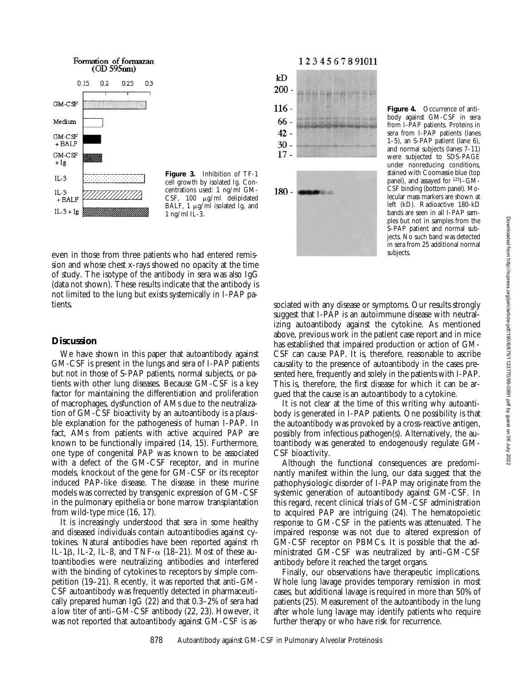

**Figure 3.** Inhibition of TF-1 cell growth by isolated Ig. Concentrations used: 1 ng/ml GM-CSF, 100 µg/ml delipidated BALF,  $1 \mu g/ml$  isolated Ig, and 1 ng/ml IL-3.

1234567891011



**Figure 4.** Occurrence of antibody against GM-CSF in sera from I-PAP patients. Proteins in sera from I-PAP patients (lanes 1–5), an S-PAP patient (lane 6), and normal subjects (lanes 7–11) were subjected to SDS-PAGE under nonreducing conditions, stained with Coomassie blue (top panel), and assayed for 125I–GM-CSF binding (bottom panel). Molecular mass markers are shown at left (kD). Radioactive 180-kD bands are seen in all I-PAP samples but not in samples from the S-PAP patient and normal subjects. No such band was detected in sera from 25 additional normal subjects.

even in those from three patients who had entered remission and whose chest x-rays showed no opacity at the time of study. The isotype of the antibody in sera was also IgG (data not shown). These results indicate that the antibody is not limited to the lung but exists systemically in I-PAP patients.

### **Discussion**

We have shown in this paper that autoantibody against GM-CSF is present in the lungs and sera of I-PAP patients but not in those of S-PAP patients, normal subjects, or patients with other lung diseases. Because GM-CSF is a key factor for maintaining the differentiation and proliferation of macrophages, dysfunction of AMs due to the neutralization of GM-CSF bioactivity by an autoantibody is a plausible explanation for the pathogenesis of human I-PAP. In fact, AMs from patients with active acquired PAP are known to be functionally impaired (14, 15). Furthermore, one type of congenital PAP was known to be associated with a defect of the GM-CSF receptor, and in murine models, knockout of the gene for GM-CSF or its receptor induced PAP-like disease. The disease in these murine models was corrected by transgenic expression of GM-CSF in the pulmonary epithelia or bone marrow transplantation from wild-type mice (16, 17).

It is increasingly understood that sera in some healthy and diseased individuals contain autoantibodies against cytokines. Natural antibodies have been reported against rh IL-1 $\beta$ , IL-2, IL-8, and TNF- $\alpha$  (18–21). Most of these autoantibodies were neutralizing antibodies and interfered with the binding of cytokines to receptors by simple competition (19–21). Recently, it was reported that anti–GM-CSF autoantibody was frequently detected in pharmaceutically prepared human IgG (22) and that 0.3–2% of sera had a low titer of anti–GM-CSF antibody (22, 23). However, it was not reported that autoantibody against GM-CSF is associated with any disease or symptoms. Our results strongly suggest that I-PAP is an autoimmune disease with neutralizing autoantibody against the cytokine. As mentioned above, previous work in the patient case report and in mice has established that impaired production or action of GM-CSF can cause PAP. It is, therefore, reasonable to ascribe causality to the presence of autoantibody in the cases presented here, frequently and solely in the patients with I-PAP. This is, therefore, the first disease for which it can be argued that the cause is an autoantibody to a cytokine.

It is not clear at the time of this writing why autoantibody is generated in I-PAP patients. One possibility is that the autoantibody was provoked by a cross-reactive antigen, possibly from infectious pathogen(s). Alternatively, the autoantibody was generated to endogenously regulate GM-CSF bioactivity.

Although the functional consequences are predominantly manifest within the lung, our data suggest that the pathophysiologic disorder of I-PAP may originate from the systemic generation of autoantibody against GM-CSF. In this regard, recent clinical trials of GM-CSF administration to acquired PAP are intriguing (24). The hematopoietic response to GM-CSF in the patients was attenuated. The impaired response was not due to altered expression of GM-CSF receptor on PBMCs. It is possible that the administrated GM-CSF was neutralized by anti–GM-CSF antibody before it reached the target organs.

Finally, our observations have therapeutic implications. Whole lung lavage provides temporary remission in most cases, but additional lavage is required in more than 50% of patients (25). Measurement of the autoantibody in the lung after whole lung lavage may identify patients who require further therapy or who have risk for recurrence.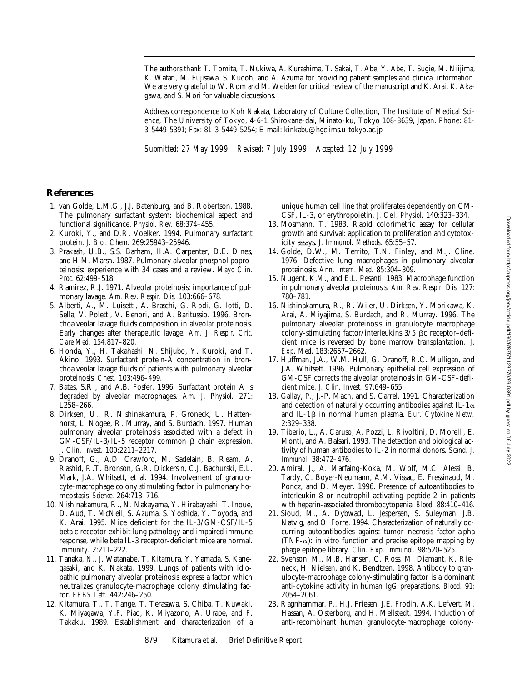The authors thank T. Tomita, T. Nukiwa, A. Kurashima, T. Sakai, T. Abe, Y. Abe, T. Sugie, M. Niijima, K. Watari, M. Fujisawa, S. Kudoh, and A. Azuma for providing patient samples and clinical information. We are very grateful to W. Rom and M. Weiden for critical review of the manuscript and K. Arai, K. Akagawa, and S. Mori for valuable discussions.

Address correspondence to Koh Nakata, Laboratory of Culture Collection, The Institute of Medical Science, The University of Tokyo, 4-6-1 Shirokane-dai, Minato-ku, Tokyo 108-8639, Japan. Phone: 81- 3-5449-5391; Fax: 81-3-5449-5254; E-mail: kinkabu@hgc.ims.u-tokyo.ac.jp

*Submitted: 27 May 1999 Revised: 7 July 1999 Accepted: 12 July 1999*

### **References**

- 1. van Golde, L.M.G., J.J. Batenburg, and B. Robertson. 1988. The pulmonary surfactant system: biochemical aspect and functional significance. *Physiol. Rev.* 68:374–455.
- 2. Kuroki, Y., and D.R. Voelker. 1994. Pulmonary surfactant protein. *J. Biol. Chem.* 269:25943–25946.
- 3. Prakash, U.B., S.S. Barham, H.A. Carpenter, D.E. Dines, and H.M. Marsh. 1987. Pulmonary alveolar phospholipoproteinosis: experience with 34 cases and a review. *Mayo Clin. Proc.* 62:499–518.
- 4. Ramirez, R.J. 1971. Alveolar proteinosis: importance of pulmonary lavage. *Am. Rev. Respir. Dis.* 103:666–678.
- 5. Alberti, A., M. Luisetti, A. Braschi, G. Rodi, G. Iotti, D. Sella, V. Poletti, V. Benori, and A. Baritussio. 1996. Bronchoalveolar lavage fluids composition in alveolar proteinosis. Early changes after therapeutic lavage. *Am. J. Respir. Crit. Care Med.* 154:817–820.
- 6. Honda, Y., H. Takahashi, N. Shijubo, Y. Kuroki, and T. Akino. 1993. Surfactant protein-A concentration in bronchoalveolar lavage fluids of patients with pulmonary alveolar proteinosis. *Chest.* 103:496–499.
- 7. Bates, S.R., and A.B. Fosfer. 1996. Surfactant protein A is degraded by alveolar macrophages. *Am. J. Physiol.* 271: L258–266.
- 8. Dirksen, U., R. Nishinakamura, P. Groneck, U. Hattenhorst, L. Nogee, R. Murray, and S. Burdach. 1997. Human pulmonary alveolar proteinosis associated with a defect in  $GM-CSF/IL-3/IL-5$  receptor common  $\beta$  chain expression. *J. Clin. Invest.* 100:2211–2217.
- 9. Dranoff, G., A.D. Crawford, M. Sadelain, B. Ream, A. Rashid, R.T. Bronson, G.R. Dickersin, C.J. Bachurski, E.L. Mark, J.A. Whitsett, et al. 1994. Involvement of granulocyte-macrophage colony stimulating factor in pulmonary homeostasis. *Science.* 264:713–716.
- 10. Nishinakamura, R., N. Nakayama, Y. Hirabayashi, T. Inoue, D. Aud, T. McNeil, S. Azuma, S. Yoshida, Y. Toyoda, and K. Arai. 1995. Mice deficient for the IL-3/GM-CSF/IL-5 beta c receptor exhibit lung pathology and impaired immune response, while beta IL-3 receptor-deficient mice are normal. *Immunity.* 2:211–222.
- 11. Tanaka, N., J. Watanabe, T. Kitamura, Y. Yamada, S. Kanegasaki, and K. Nakata. 1999. Lungs of patients with idiopathic pulmonary alveolar proteinosis express a factor which neutralizes granulocyte-macrophage colony stimulating factor. *FEBS Lett.* 442:246–250.
- 12. Kitamura, T., T. Tange, T. Terasawa, S. Chiba, T. Kuwaki, K. Miyagawa, Y.F. Piao, K. Miyazono, A. Urabe, and F. Takaku. 1989. Establishment and characterization of a

unique human cell line that proliferates dependently on GM-CSF, IL-3, or erythropoietin. *J. Cell. Physiol.* 140:323–334.

- 13. Mosmann, T. 1983. Rapid colorimetric assay for cellular growth and survival: application to proliferation and cytotoxicity assays. *J. Immunol. Methods.* 65:55–57.
- 14. Golde, D.W., M. Territo, T.N. Finley, and M.J. Cline. 1976. Defective lung macrophages in pulmonary alveolar proteinosis. *Ann. Intern. Med.* 85:304–309.
- 15. Nugent, K.M., and E.L. Pesanti. 1983. Macrophage function in pulmonary alveolar proteinosis. *Am. Rev. Respir. Dis.* 127: 780–781.
- 16. Nishinakamura, R., R. Wiler, U. Dirksen, Y. Morikawa, K. Arai, A. Miyajima, S. Burdach, and R. Murray. 1996. The pulmonary alveolar proteinosis in granulocyte macrophage colony-stimulating factor/interleukins  $3/5$   $\beta$ c receptor-deficient mice is reversed by bone marrow transplantation. *J. Exp. Med*. 183:2657–2662.
- 17. Huffman, J.A., W.M. Hull, G. Dranoff, R.C. Mulligan, and J.A. Whitsett. 1996. Pulmonary epithelial cell expression of GM-CSF corrects the alveolar proteinosis in GM-CSF–deficient mice. *J. Clin. Invest.* 97:649–655.
- 18. Gallay, P., J.-P. Mach, and S. Carrel. 1991. Characterization and detection of naturally occurring antibodies against IL-1 $\alpha$ and IL-1b in normal human plasma. *Eur. Cytokine Netw.* 2:329–338.
- 19. Tiberio, L., A. Caruso, A. Pozzi, L. Rivoltini, D. Morelli, E. Monti, and A. Balsari. 1993. The detection and biological activity of human antibodies to IL-2 in normal donors. *Scand. J. Immunol.* 38:472–476.
- 20. Amiral, J., A. Marfaing-Koka, M. Wolf, M.C. Alessi, B. Tardy, C. Boyer-Neumann, A.M. Vissac, E. Fressinaud, M. Poncz, and D. Meyer. 1996. Presence of autoantibodies to interleukin-8 or neutrophil-activating peptide-2 in patients with heparin-associated thrombocytopenia. *Blood.* 88:410–416.
- 21. Sioud, M., A. Dybwad, L. Jespersen, S. Suleyman, J.B. Natvig, and O. Forre. 1994. Characterization of naturally occurring autoantibodies against tumor necrosis factor-alpha (TNF- $\alpha$ ): in vitro function and precise epitope mapping by phage epitope library. *Clin. Exp. Immunol.* 98:520–525.
- 22. Svenson, M., M.B. Hansen, C. Ross, M. Diamant, K. Rieneck, H. Nielsen, and K. Bendtzen. 1998. Antibody to granulocyte-macrophage colony-stimulating factor is a dominant anti-cytokine activity in human IgG preparations. *Blood.* 91: 2054–2061.
- 23. Ragnhammar, P., H.J. Friesen, J.E. Frodin, A.K. Lefvert, M. Hassan, A. Osterborg, and H. Mellstedt. 1994. Induction of anti-recombinant human granulocyte-macrophage colony-